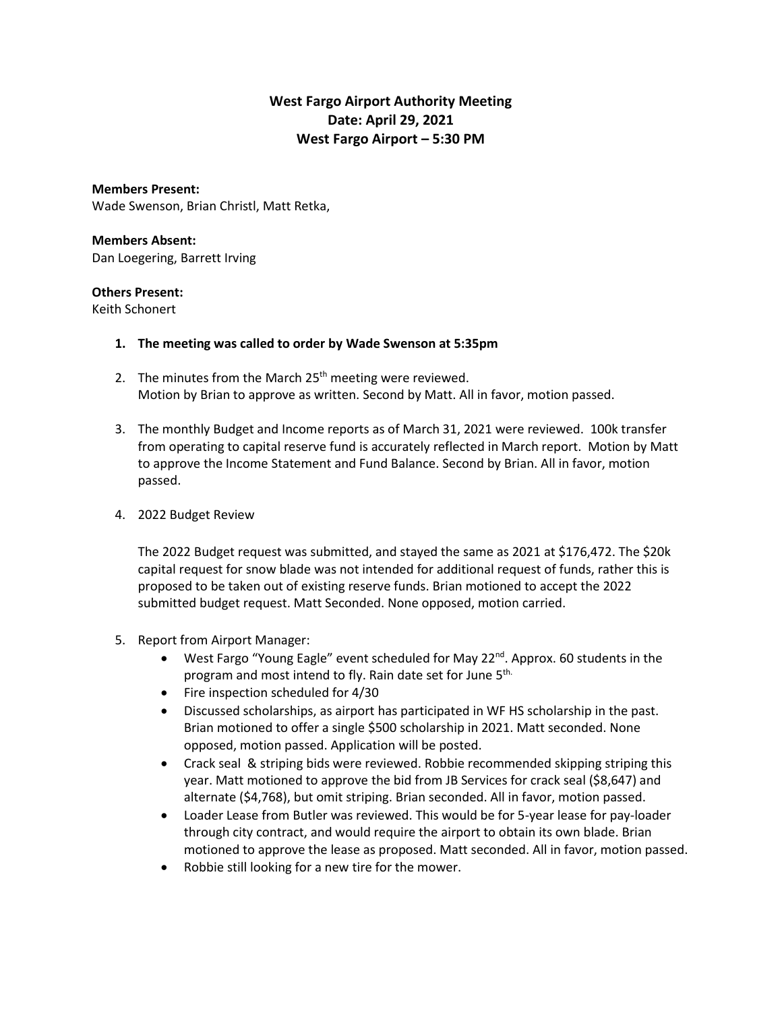## **West Fargo Airport Authority Meeting Date: April 29, 2021 West Fargo Airport – 5:30 PM**

**Members Present:** Wade Swenson, Brian Christl, Matt Retka,

**Members Absent:** Dan Loegering, Barrett Irving

## **Others Present:**

Keith Schonert

- **1. The meeting was called to order by Wade Swenson at 5:35pm**
- 2. The minutes from the March  $25<sup>th</sup>$  meeting were reviewed. Motion by Brian to approve as written. Second by Matt. All in favor, motion passed.
- 3. The monthly Budget and Income reports as of March 31, 2021 were reviewed. 100k transfer from operating to capital reserve fund is accurately reflected in March report. Motion by Matt to approve the Income Statement and Fund Balance. Second by Brian. All in favor, motion passed.
- 4. 2022 Budget Review

The 2022 Budget request was submitted, and stayed the same as 2021 at \$176,472. The \$20k capital request for snow blade was not intended for additional request of funds, rather this is proposed to be taken out of existing reserve funds. Brian motioned to accept the 2022 submitted budget request. Matt Seconded. None opposed, motion carried.

- 5. Report from Airport Manager:
	- West Fargo "Young Eagle" event scheduled for May  $22^{nd}$ . Approx. 60 students in the program and most intend to fly. Rain date set for June 5<sup>th.</sup>
	- Fire inspection scheduled for 4/30
	- Discussed scholarships, as airport has participated in WF HS scholarship in the past. Brian motioned to offer a single \$500 scholarship in 2021. Matt seconded. None opposed, motion passed. Application will be posted.
	- Crack seal & striping bids were reviewed. Robbie recommended skipping striping this year. Matt motioned to approve the bid from JB Services for crack seal (\$8,647) and alternate (\$4,768), but omit striping. Brian seconded. All in favor, motion passed.
	- Loader Lease from Butler was reviewed. This would be for 5-year lease for pay-loader through city contract, and would require the airport to obtain its own blade. Brian motioned to approve the lease as proposed. Matt seconded. All in favor, motion passed.
	- Robbie still looking for a new tire for the mower.